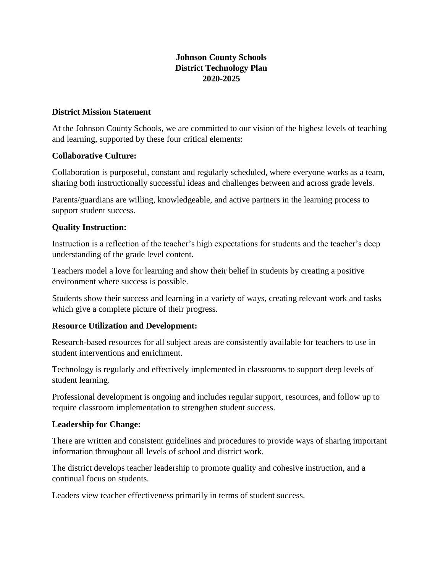# **Johnson County Schools District Technology Plan 2020-2025**

#### **District Mission Statement**

At the Johnson County Schools, we are committed to our vision of the highest levels of teaching and learning, supported by these four critical elements:

### **Collaborative Culture:**

Collaboration is purposeful, constant and regularly scheduled, where everyone works as a team, sharing both instructionally successful ideas and challenges between and across grade levels.

Parents/guardians are willing, knowledgeable, and active partners in the learning process to support student success.

### **Quality Instruction:**

Instruction is a reflection of the teacher's high expectations for students and the teacher's deep understanding of the grade level content.

Teachers model a love for learning and show their belief in students by creating a positive environment where success is possible.

Students show their success and learning in a variety of ways, creating relevant work and tasks which give a complete picture of their progress.

### **Resource Utilization and Development:**

Research-based resources for all subject areas are consistently available for teachers to use in student interventions and enrichment.

Technology is regularly and effectively implemented in classrooms to support deep levels of student learning.

Professional development is ongoing and includes regular support, resources, and follow up to require classroom implementation to strengthen student success.

### **Leadership for Change:**

There are written and consistent guidelines and procedures to provide ways of sharing important information throughout all levels of school and district work.

The district develops teacher leadership to promote quality and cohesive instruction, and a continual focus on students.

Leaders view teacher effectiveness primarily in terms of student success.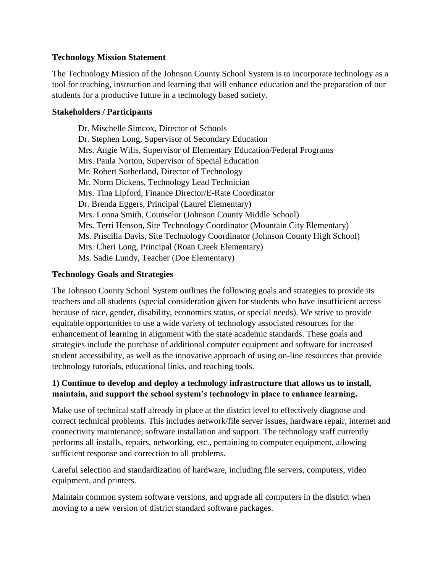### **Technology Mission Statement**

The Technology Mission of the Johnson County School System is to incorporate technology as a tool for teaching, instruction and learning that will enhance education and the preparation of our students for a productive future in a technology based society.

### **Stakeholders / Participants**

Dr. Mischelle Simcox, Director of Schools Dr. Stephen Long, Supervisor of Secondary Education Mrs. Angie Wills, Supervisor of Elementary Education/Federal Programs Mrs. Paula Norton, Supervisor of Special Education Mr. Robert Sutherland, Director of Technology Mr. Norm Dickens, Technology Lead Technician Mrs. Tina Lipford, Finance Director/E-Rate Coordinator Dr. Brenda Eggers, Principal (Laurel Elementary) Mrs. Lonna Smith, Counselor (Johnson County Middle School) Mrs. Terri Henson, Site Technology Coordinator (Mountain City Elementary) Ms. Priscilla Davis, Site Technology Coordinator (Johnson County High School) Mrs. Cheri Long, Principal (Roan Creek Elementary) Ms. Sadie Lundy, Teacher (Doe Elementary)

### **Technology Goals and Strategies**

The Johnson County School System outlines the following goals and strategies to provide its teachers and all students (special consideration given for students who have insufficient access because of race, gender, disability, economics status, or special needs). We strive to provide equitable opportunities to use a wide variety of technology associated resources for the enhancement of learning in alignment with the state academic standards. These goals and strategies include the purchase of additional computer equipment and software for increased student accessibility, as well as the innovative approach of using on-line resources that provide technology tutorials, educational links, and teaching tools.

## **1) Continue to develop and deploy a technology infrastructure that allows us to install, maintain, and support the school system's technology in place to enhance learning.**

Make use of technical staff already in place at the district level to effectively diagnose and correct technical problems. This includes network/file server issues, hardware repair, internet and connectivity maintenance, software installation and support. The technology staff currently performs all installs, repairs, networking, etc., pertaining to computer equipment, allowing sufficient response and correction to all problems.

Careful selection and standardization of hardware, including file servers, computers, video equipment, and printers.

Maintain common system software versions, and upgrade all computers in the district when moving to a new version of district standard software packages.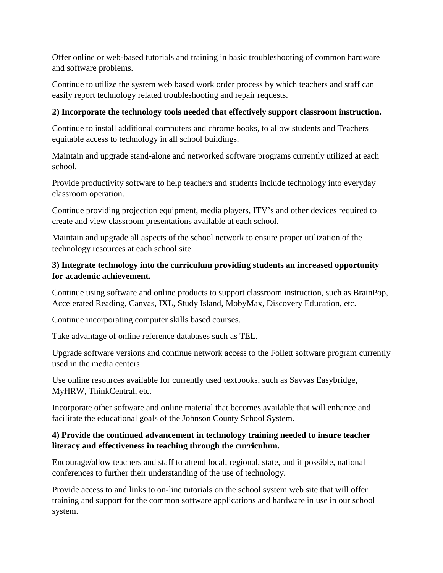Offer online or web-based tutorials and training in basic troubleshooting of common hardware and software problems.

Continue to utilize the system web based work order process by which teachers and staff can easily report technology related troubleshooting and repair requests.

# **2) Incorporate the technology tools needed that effectively support classroom instruction.**

Continue to install additional computers and chrome books, to allow students and Teachers equitable access to technology in all school buildings.

Maintain and upgrade stand-alone and networked software programs currently utilized at each school.

Provide productivity software to help teachers and students include technology into everyday classroom operation.

Continue providing projection equipment, media players, ITV's and other devices required to create and view classroom presentations available at each school.

Maintain and upgrade all aspects of the school network to ensure proper utilization of the technology resources at each school site.

# **3) Integrate technology into the curriculum providing students an increased opportunity for academic achievement.**

Continue using software and online products to support classroom instruction, such as BrainPop, Accelerated Reading, Canvas, IXL, Study Island, MobyMax, Discovery Education, etc.

Continue incorporating computer skills based courses.

Take advantage of online reference databases such as TEL.

Upgrade software versions and continue network access to the Follett software program currently used in the media centers.

Use online resources available for currently used textbooks, such as Savvas Easybridge, MyHRW, ThinkCentral, etc.

Incorporate other software and online material that becomes available that will enhance and facilitate the educational goals of the Johnson County School System.

# **4) Provide the continued advancement in technology training needed to insure teacher literacy and effectiveness in teaching through the curriculum.**

Encourage/allow teachers and staff to attend local, regional, state, and if possible, national conferences to further their understanding of the use of technology.

Provide access to and links to on-line tutorials on the school system web site that will offer training and support for the common software applications and hardware in use in our school system.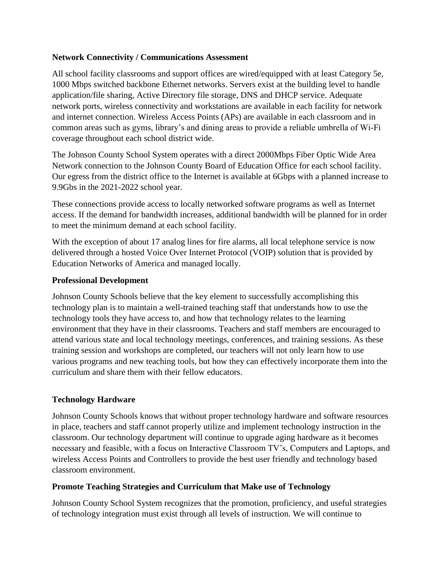### **Network Connectivity / Communications Assessment**

All school facility classrooms and support offices are wired/equipped with at least Category 5e, 1000 Mbps switched backbone Ethernet networks. Servers exist at the building level to handle application/file sharing, Active Directory file storage, DNS and DHCP service. Adequate network ports, wireless connectivity and workstations are available in each facility for network and internet connection. Wireless Access Points (APs) are available in each classroom and in common areas such as gyms, library's and dining areas to provide a reliable umbrella of Wi-Fi coverage throughout each school district wide.

The Johnson County School System operates with a direct 2000Mbps Fiber Optic Wide Area Network connection to the Johnson County Board of Education Office for each school facility. Our egress from the district office to the Internet is available at 6Gbps with a planned increase to 9.9Gbs in the 2021-2022 school year.

These connections provide access to locally networked software programs as well as Internet access. If the demand for bandwidth increases, additional bandwidth will be planned for in order to meet the minimum demand at each school facility.

With the exception of about 17 analog lines for fire alarms, all local telephone service is now delivered through a hosted Voice Over Internet Protocol (VOIP) solution that is provided by Education Networks of America and managed locally.

### **Professional Development**

Johnson County Schools believe that the key element to successfully accomplishing this technology plan is to maintain a well-trained teaching staff that understands how to use the technology tools they have access to, and how that technology relates to the learning environment that they have in their classrooms. Teachers and staff members are encouraged to attend various state and local technology meetings, conferences, and training sessions. As these training session and workshops are completed, our teachers will not only learn how to use various programs and new teaching tools, but how they can effectively incorporate them into the curriculum and share them with their fellow educators.

### **Technology Hardware**

Johnson County Schools knows that without proper technology hardware and software resources in place, teachers and staff cannot properly utilize and implement technology instruction in the classroom. Our technology department will continue to upgrade aging hardware as it becomes necessary and feasible, with a focus on Interactive Classroom TV's, Computers and Laptops, and wireless Access Points and Controllers to provide the best user friendly and technology based classroom environment.

#### **Promote Teaching Strategies and Curriculum that Make use of Technology**

Johnson County School System recognizes that the promotion, proficiency, and useful strategies of technology integration must exist through all levels of instruction. We will continue to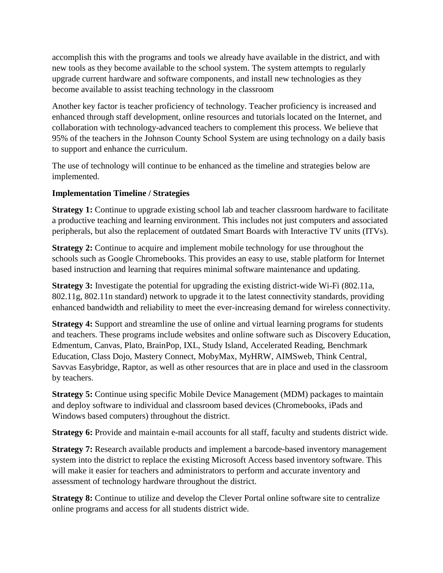accomplish this with the programs and tools we already have available in the district, and with new tools as they become available to the school system. The system attempts to regularly upgrade current hardware and software components, and install new technologies as they become available to assist teaching technology in the classroom

Another key factor is teacher proficiency of technology. Teacher proficiency is increased and enhanced through staff development, online resources and tutorials located on the Internet, and collaboration with technology-advanced teachers to complement this process. We believe that 95% of the teachers in the Johnson County School System are using technology on a daily basis to support and enhance the curriculum.

The use of technology will continue to be enhanced as the timeline and strategies below are implemented.

## **Implementation Timeline / Strategies**

**Strategy 1:** Continue to upgrade existing school lab and teacher classroom hardware to facilitate a productive teaching and learning environment. This includes not just computers and associated peripherals, but also the replacement of outdated Smart Boards with Interactive TV units (ITVs).

**Strategy 2:** Continue to acquire and implement mobile technology for use throughout the schools such as Google Chromebooks. This provides an easy to use, stable platform for Internet based instruction and learning that requires minimal software maintenance and updating.

**Strategy 3:** Investigate the potential for upgrading the existing district-wide Wi-Fi (802.11a, 802.11g, 802.11n standard) network to upgrade it to the latest connectivity standards, providing enhanced bandwidth and reliability to meet the ever-increasing demand for wireless connectivity.

**Strategy 4:** Support and streamline the use of online and virtual learning programs for students and teachers. These programs include websites and online software such as Discovery Education, Edmentum, Canvas, Plato, BrainPop, IXL, Study Island, Accelerated Reading, Benchmark Education, Class Dojo, Mastery Connect, MobyMax, MyHRW, AIMSweb, Think Central, Savvas Easybridge, Raptor, as well as other resources that are in place and used in the classroom by teachers.

**Strategy 5:** Continue using specific Mobile Device Management (MDM) packages to maintain and deploy software to individual and classroom based devices (Chromebooks, iPads and Windows based computers) throughout the district.

**Strategy 6:** Provide and maintain e-mail accounts for all staff, faculty and students district wide.

**Strategy 7:** Research available products and implement a barcode-based inventory management system into the district to replace the existing Microsoft Access based inventory software. This will make it easier for teachers and administrators to perform and accurate inventory and assessment of technology hardware throughout the district.

**Strategy 8:** Continue to utilize and develop the Clever Portal online software site to centralize online programs and access for all students district wide.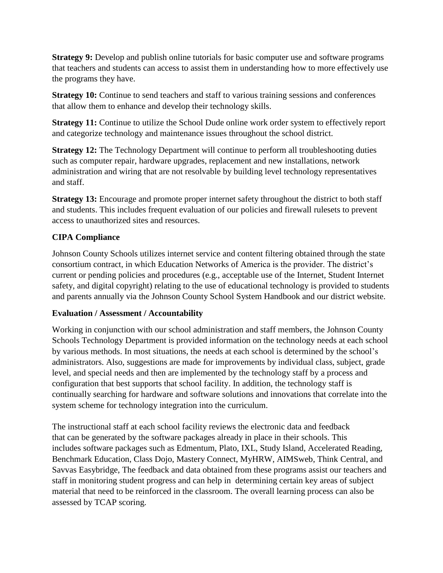**Strategy 9:** Develop and publish online tutorials for basic computer use and software programs that teachers and students can access to assist them in understanding how to more effectively use the programs they have.

**Strategy 10:** Continue to send teachers and staff to various training sessions and conferences that allow them to enhance and develop their technology skills.

**Strategy 11:** Continue to utilize the School Dude online work order system to effectively report and categorize technology and maintenance issues throughout the school district.

**Strategy 12:** The Technology Department will continue to perform all troubleshooting duties such as computer repair, hardware upgrades, replacement and new installations, network administration and wiring that are not resolvable by building level technology representatives and staff.

**Strategy 13:** Encourage and promote proper internet safety throughout the district to both staff and students. This includes frequent evaluation of our policies and firewall rulesets to prevent access to unauthorized sites and resources.

# **CIPA Compliance**

Johnson County Schools utilizes internet service and content filtering obtained through the state consortium contract, in which Education Networks of America is the provider. The district's current or pending policies and procedures (e.g., acceptable use of the Internet, Student Internet safety, and digital copyright) relating to the use of educational technology is provided to students and parents annually via the Johnson County School System Handbook and our district website.

### **Evaluation / Assessment / Accountability**

Working in conjunction with our school administration and staff members, the Johnson County Schools Technology Department is provided information on the technology needs at each school by various methods. In most situations, the needs at each school is determined by the school's administrators. Also, suggestions are made for improvements by individual class, subject, grade level, and special needs and then are implemented by the technology staff by a process and configuration that best supports that school facility. In addition, the technology staff is continually searching for hardware and software solutions and innovations that correlate into the system scheme for technology integration into the curriculum.

The instructional staff at each school facility reviews the electronic data and feedback that can be generated by the software packages already in place in their schools. This includes software packages such as Edmentum, Plato, IXL, Study Island, Accelerated Reading, Benchmark Education, Class Dojo, Mastery Connect, MyHRW, AIMSweb, Think Central, and Savvas Easybridge, The feedback and data obtained from these programs assist our teachers and staff in monitoring student progress and can help in determining certain key areas of subject material that need to be reinforced in the classroom. The overall learning process can also be assessed by TCAP scoring.